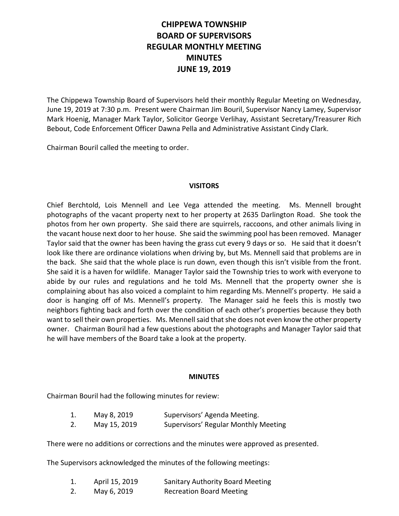# **CHIPPEWA TOWNSHIP BOARD OF SUPERVISORS REGULAR MONTHLY MEETING MINUTES JUNE 19, 2019**

The Chippewa Township Board of Supervisors held their monthly Regular Meeting on Wednesday, June 19, 2019 at 7:30 p.m. Present were Chairman Jim Bouril, Supervisor Nancy Lamey, Supervisor Mark Hoenig, Manager Mark Taylor, Solicitor George Verlihay, Assistant Secretary/Treasurer Rich Bebout, Code Enforcement Officer Dawna Pella and Administrative Assistant Cindy Clark.

Chairman Bouril called the meeting to order.

# **VISITORS**

Chief Berchtold, Lois Mennell and Lee Vega attended the meeting. Ms. Mennell brought photographs of the vacant property next to her property at 2635 Darlington Road. She took the photos from her own property. She said there are squirrels, raccoons, and other animals living in the vacant house next door to her house. She said the swimming pool has been removed. Manager Taylor said that the owner has been having the grass cut every 9 days or so. He said that it doesn't look like there are ordinance violations when driving by, but Ms. Mennell said that problems are in the back. She said that the whole place is run down, even though this isn't visible from the front. She said it is a haven for wildlife. Manager Taylor said the Township tries to work with everyone to abide by our rules and regulations and he told Ms. Mennell that the property owner she is complaining about has also voiced a complaint to him regarding Ms. Mennell's property. He said a door is hanging off of Ms. Mennell's property. The Manager said he feels this is mostly two neighbors fighting back and forth over the condition of each other's properties because they both want to sell their own properties. Ms. Mennell said that she does not even know the other property owner. Chairman Bouril had a few questions about the photographs and Manager Taylor said that he will have members of the Board take a look at the property.

#### **MINUTES**

Chairman Bouril had the following minutes for review:

| ı. | May 8, 2019          | Supervisors' Agenda Meeting.        |
|----|----------------------|-------------------------------------|
|    | $M_{01}$ , $15.2010$ | Cunomicore' Dogular Monthly Montine |

2. May 15, 2019 Supervisors' Regular Monthly Meeting

There were no additions or corrections and the minutes were approved as presented.

The Supervisors acknowledged the minutes of the following meetings:

| 1. | April 15, 2019 | <b>Sanitary Authority Board Meeting</b> |
|----|----------------|-----------------------------------------|
| 2. | May 6, 2019    | <b>Recreation Board Meeting</b>         |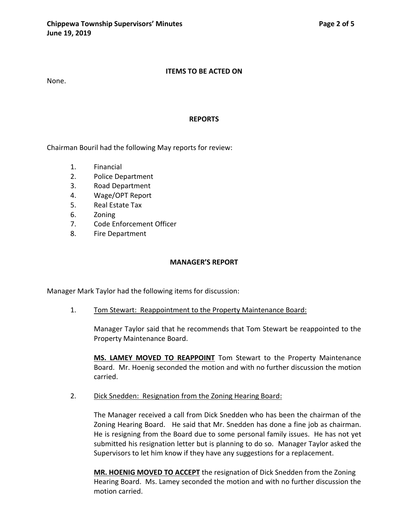None.

#### **REPORTS**

Chairman Bouril had the following May reports for review:

- 1. Financial
- 2. Police Department
- 3. Road Department
- 4. Wage/OPT Report
- 5. Real Estate Tax
- 6. Zoning
- 7. Code Enforcement Officer
- 8. Fire Department

## **MANAGER'S REPORT**

Manager Mark Taylor had the following items for discussion:

1. Tom Stewart: Reappointment to the Property Maintenance Board:

Manager Taylor said that he recommends that Tom Stewart be reappointed to the Property Maintenance Board.

**MS. LAMEY MOVED TO REAPPOINT** Tom Stewart to the Property Maintenance Board. Mr. Hoenig seconded the motion and with no further discussion the motion carried.

2. Dick Snedden: Resignation from the Zoning Hearing Board:

The Manager received a call from Dick Snedden who has been the chairman of the Zoning Hearing Board. He said that Mr. Snedden has done a fine job as chairman. He is resigning from the Board due to some personal family issues. He has not yet submitted his resignation letter but is planning to do so. Manager Taylor asked the Supervisors to let him know if they have any suggestions for a replacement.

**MR. HOENIG MOVED TO ACCEPT** the resignation of Dick Snedden from the Zoning Hearing Board. Ms. Lamey seconded the motion and with no further discussion the motion carried.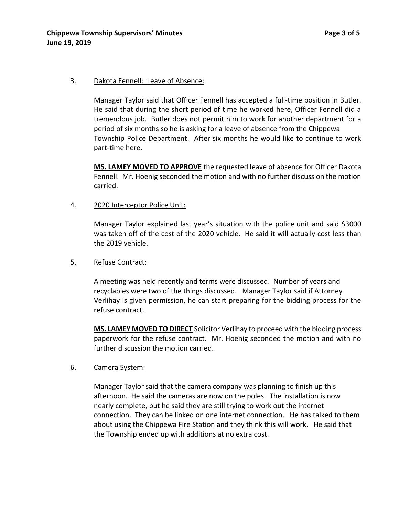#### 3. Dakota Fennell: Leave of Absence:

Manager Taylor said that Officer Fennell has accepted a full-time position in Butler. He said that during the short period of time he worked here, Officer Fennell did a tremendous job. Butler does not permit him to work for another department for a period of six months so he is asking for a leave of absence from the Chippewa Township Police Department. After six months he would like to continue to work part-time here.

**MS. LAMEY MOVED TO APPROVE** the requested leave of absence for Officer Dakota Fennell. Mr. Hoenig seconded the motion and with no further discussion the motion carried.

4. 2020 Interceptor Police Unit:

Manager Taylor explained last year's situation with the police unit and said \$3000 was taken off of the cost of the 2020 vehicle. He said it will actually cost less than the 2019 vehicle.

5. Refuse Contract:

A meeting was held recently and terms were discussed. Number of years and recyclables were two of the things discussed. Manager Taylor said if Attorney Verlihay is given permission, he can start preparing for the bidding process for the refuse contract.

**MS. LAMEY MOVED TO DIRECT** Solicitor Verlihay to proceed with the bidding process paperwork for the refuse contract. Mr. Hoenig seconded the motion and with no further discussion the motion carried.

## 6. Camera System:

Manager Taylor said that the camera company was planning to finish up this afternoon. He said the cameras are now on the poles. The installation is now nearly complete, but he said they are still trying to work out the internet connection. They can be linked on one internet connection. He has talked to them about using the Chippewa Fire Station and they think this will work. He said that the Township ended up with additions at no extra cost.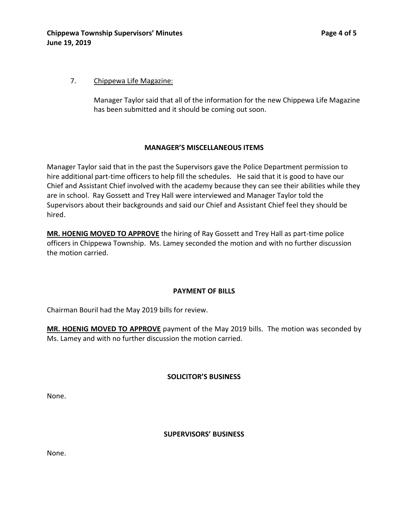## 7. Chippewa Life Magazine:

Manager Taylor said that all of the information for the new Chippewa Life Magazine has been submitted and it should be coming out soon.

#### **MANAGER'S MISCELLANEOUS ITEMS**

Manager Taylor said that in the past the Supervisors gave the Police Department permission to hire additional part-time officers to help fill the schedules. He said that it is good to have our Chief and Assistant Chief involved with the academy because they can see their abilities while they are in school. Ray Gossett and Trey Hall were interviewed and Manager Taylor told the Supervisors about their backgrounds and said our Chief and Assistant Chief feel they should be hired.

**MR. HOENIG MOVED TO APPROVE** the hiring of Ray Gossett and Trey Hall as part-time police officers in Chippewa Township. Ms. Lamey seconded the motion and with no further discussion the motion carried.

## **PAYMENT OF BILLS**

Chairman Bouril had the May 2019 bills for review.

**MR. HOENIG MOVED TO APPROVE** payment of the May 2019 bills. The motion was seconded by Ms. Lamey and with no further discussion the motion carried.

#### **SOLICITOR'S BUSINESS**

None.

#### **SUPERVISORS' BUSINESS**

None.